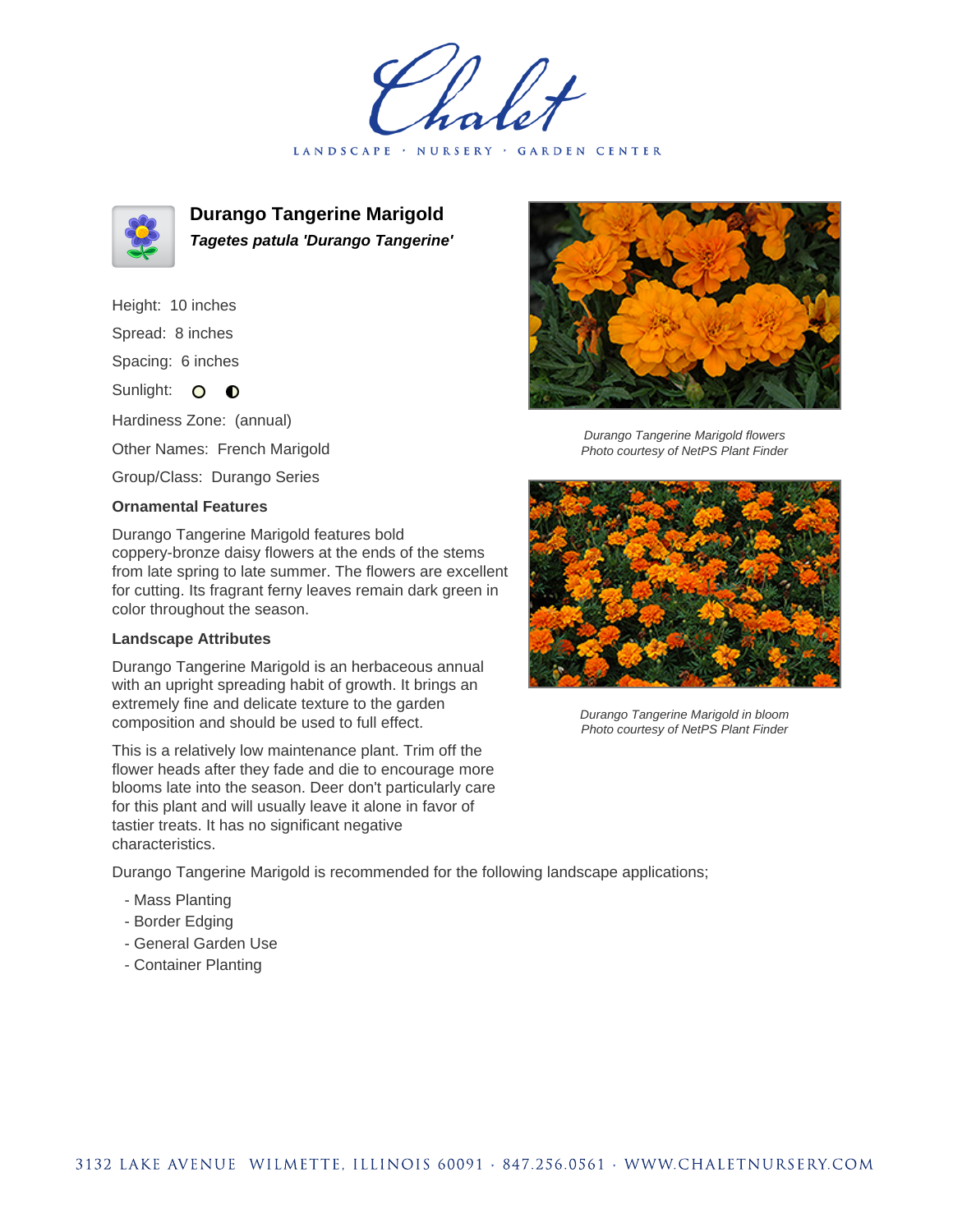LANDSCAPE · NURSERY · GARDEN CENTER



**Durango Tangerine Marigold Tagetes patula 'Durango Tangerine'**

Height: 10 inches Spread: 8 inches

Spacing: 6 inches

Sunlight: O **O** 

Hardiness Zone: (annual)

Other Names: French Marigold

Group/Class: Durango Series

## **Ornamental Features**

Durango Tangerine Marigold features bold coppery-bronze daisy flowers at the ends of the stems from late spring to late summer. The flowers are excellent for cutting. Its fragrant ferny leaves remain dark green in color throughout the season.

## **Landscape Attributes**

Durango Tangerine Marigold is an herbaceous annual with an upright spreading habit of growth. It brings an extremely fine and delicate texture to the garden composition and should be used to full effect.

This is a relatively low maintenance plant. Trim off the flower heads after they fade and die to encourage more blooms late into the season. Deer don't particularly care for this plant and will usually leave it alone in favor of tastier treats. It has no significant negative characteristics.

Durango Tangerine Marigold is recommended for the following landscape applications;

- Mass Planting
- Border Edging
- General Garden Use
- Container Planting



Durango Tangerine Marigold flowers Photo courtesy of NetPS Plant Finder



Durango Tangerine Marigold in bloom Photo courtesy of NetPS Plant Finder